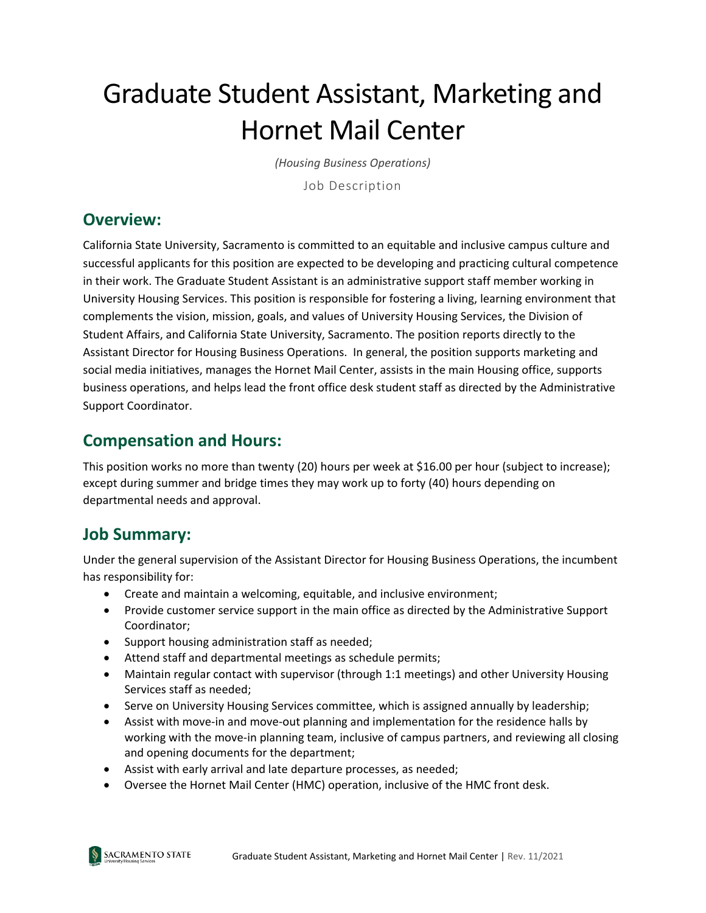# Graduate Student Assistant, Marketing and Hornet Mail Center

*(Housing Business Operations)*

Job Description

#### **Overview:**

California State University, Sacramento is committed to an equitable and inclusive campus culture and successful applicants for this position are expected to be developing and practicing cultural competence in their work. The Graduate Student Assistant is an administrative support staff member working in University Housing Services. This position is responsible for fostering a living, learning environment that complements the vision, mission, goals, and values of University Housing Services, the Division of Student Affairs, and California State University, Sacramento. The position reports directly to the Assistant Director for Housing Business Operations. In general, the position supports marketing and social media initiatives, manages the Hornet Mail Center, assists in the main Housing office, supports business operations, and helps lead the front office desk student staff as directed by the Administrative Support Coordinator.

#### **Compensation and Hours:**

This position works no more than twenty (20) hours per week at \$16.00 per hour (subject to increase); except during summer and bridge times they may work up to forty (40) hours depending on departmental needs and approval.

## **Job Summary:**

Under the general supervision of the Assistant Director for Housing Business Operations, the incumbent has responsibility for:

- Create and maintain a welcoming, equitable, and inclusive environment;
- Provide customer service support in the main office as directed by the Administrative Support Coordinator;
- Support housing administration staff as needed;
- Attend staff and departmental meetings as schedule permits;
- Maintain regular contact with supervisor (through 1:1 meetings) and other University Housing Services staff as needed;
- Serve on University Housing Services committee, which is assigned annually by leadership;
- Assist with move-in and move-out planning and implementation for the residence halls by working with the move-in planning team, inclusive of campus partners, and reviewing all closing and opening documents for the department;
- Assist with early arrival and late departure processes, as needed;
- Oversee the Hornet Mail Center (HMC) operation, inclusive of the HMC front desk.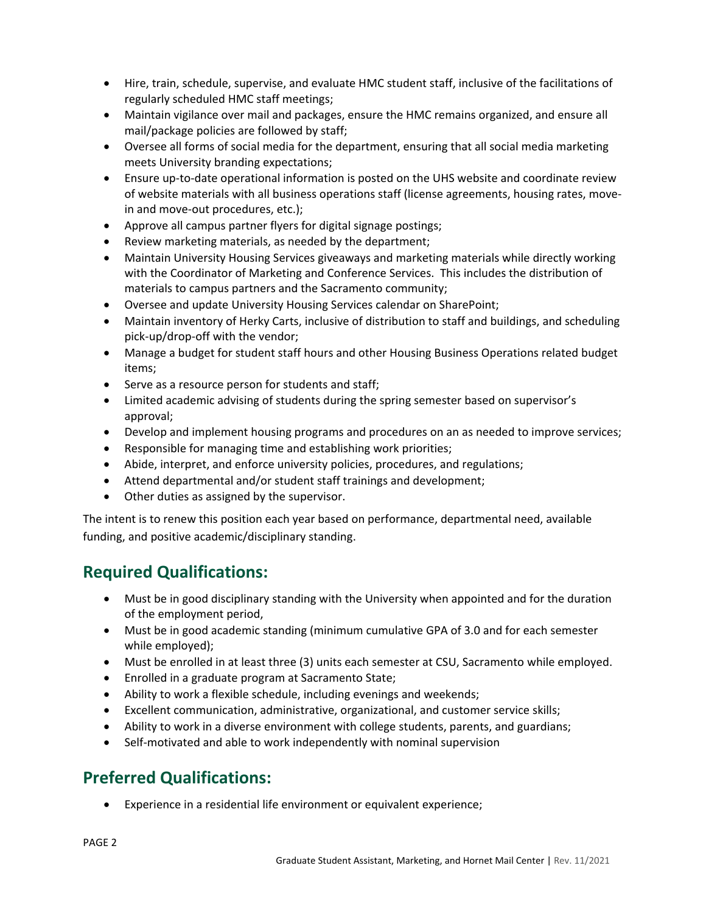- Hire, train, schedule, supervise, and evaluate HMC student staff, inclusive of the facilitations of regularly scheduled HMC staff meetings;
- Maintain vigilance over mail and packages, ensure the HMC remains organized, and ensure all mail/package policies are followed by staff;
- Oversee all forms of social media for the department, ensuring that all social media marketing meets University branding expectations;
- Ensure up-to-date operational information is posted on the UHS website and coordinate review of website materials with all business operations staff (license agreements, housing rates, movein and move-out procedures, etc.);
- Approve all campus partner flyers for digital signage postings;
- Review marketing materials, as needed by the department;
- Maintain University Housing Services giveaways and marketing materials while directly working with the Coordinator of Marketing and Conference Services. This includes the distribution of materials to campus partners and the Sacramento community;
- Oversee and update University Housing Services calendar on SharePoint;
- Maintain inventory of Herky Carts, inclusive of distribution to staff and buildings, and scheduling pick-up/drop-off with the vendor;
- Manage a budget for student staff hours and other Housing Business Operations related budget items;
- Serve as a resource person for students and staff;
- Limited academic advising of students during the spring semester based on supervisor's approval;
- Develop and implement housing programs and procedures on an as needed to improve services;
- Responsible for managing time and establishing work priorities;
- Abide, interpret, and enforce university policies, procedures, and regulations;
- Attend departmental and/or student staff trainings and development;
- Other duties as assigned by the supervisor.

The intent is to renew this position each year based on performance, departmental need, available funding, and positive academic/disciplinary standing.

#### **Required Qualifications:**

- Must be in good disciplinary standing with the University when appointed and for the duration of the employment period,
- Must be in good academic standing (minimum cumulative GPA of 3.0 and for each semester while employed);
- Must be enrolled in at least three (3) units each semester at CSU, Sacramento while employed.
- Enrolled in a graduate program at Sacramento State;
- Ability to work a flexible schedule, including evenings and weekends;
- Excellent communication, administrative, organizational, and customer service skills;
- Ability to work in a diverse environment with college students, parents, and guardians;
- Self-motivated and able to work independently with nominal supervision

## **Preferred Qualifications:**

• Experience in a residential life environment or equivalent experience;